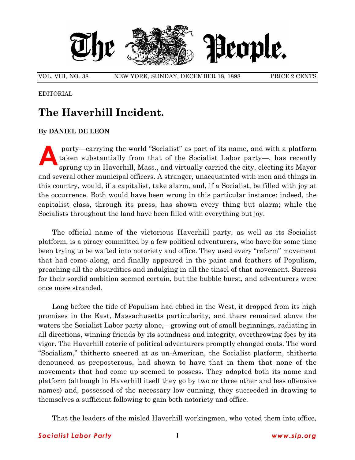

VOL. VIII, NO. 38 NEW YORK, SUNDAY, DECEMBER 18, 1898 PRICE 2 CENTS

EDITORIAL

## **The Haverhill Incident.**

## **By DANIEL DE LEON**

party—carrying the world "Socialist" as part of its name, and with a platform<br>taken substantially from that of the Socialist Labor party—, has recently<br>sprung up in Haverhill, Mass., and virtually carried the city, electin taken substantially from that of the Socialist Labor party—, has recently sprung up in Haverhill, Mass., and virtually carried the city, electing its Mayor and several other municipal officers. A stranger, unacquainted with men and things in this country, would, if a capitalist, take alarm, and, if a Socialist, be filled with joy at the occurrence. Both would have been wrong in this particular instance: indeed, the capitalist class, through its press, has shown every thing but alarm; while the Socialists throughout the land have been filled with everything but joy.

The official name of the victorious Haverhill party, as well as its Socialist platform, is a piracy committed by a few political adventurers, who have for some time been trying to be wafted into notoriety and office. They used every "reform" movement that had come along, and finally appeared in the paint and feathers of Populism, preaching all the absurdities and indulging in all the tinsel of that movement. Success for their sordid ambition seemed certain, but the bubble burst, and adventurers were once more stranded.

Long before the tide of Populism had ebbed in the West, it dropped from its high promises in the East, Massachusetts particularity, and there remained above the waters the Socialist Labor party alone,—growing out of small beginnings, radiating in all directions, winning friends by its soundness and integrity, overthrowing foes by its vigor. The Haverhill coterie of political adventurers promptly changed coats. The word ìSocialism,î thitherto sneered at as un-American, the Socialist platform, thitherto denounced as preposterous, had shown to have that in them that none of the movements that had come up seemed to possess. They adopted both its name and platform (although in Haverhill itself they go by two or three other and less offensive names) and, possessed of the necessary low cunning, they succeeded in drawing to themselves a sufficient following to gain both notoriety and office.

That the leaders of the misled Haverhill workingmen, who voted them into office,

## *Socialist Labor Party 1 www.slp.org*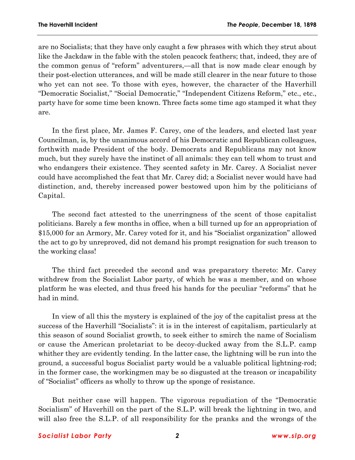are no Socialists; that they have only caught a few phrases with which they strut about like the Jackdaw in the fable with the stolen peacock feathers; that, indeed, they are of the common genus of "reform" adventurers,—all that is now made clear enough by their post-election utterances, and will be made still clearer in the near future to those who yet can not see. To those with eyes, however, the character of the Haverhill "Democratic Socialist," "Social Democratic," "Independent Citizens Reform," etc., etc., party have for some time been known. Three facts some time ago stamped it what they are.

In the first place, Mr. James F. Carey, one of the leaders, and elected last year Councilman, is, by the unanimous accord of his Democratic and Republican colleagues, forthwith made President of the body. Democrats and Republicans may not know much, but they surely have the instinct of all animals: they can tell whom to trust and who endangers their existence. They scented safety in Mr. Carey. A Socialist never could have accomplished the feat that Mr. Carey did; a Socialist never would have had distinction, and, thereby increased power bestowed upon him by the politicians of Capital.

The second fact attested to the unerringness of the scent of those capitalist politicians. Barely a few months in office, when a bill turned up for an appropriation of \$15,000 for an Armory, Mr. Carey voted for it, and his "Socialist organization" allowed the act to go by unreproved, did not demand his prompt resignation for such treason to the working class!

The third fact preceded the second and was preparatory thereto: Mr. Carey withdrew from the Socialist Labor party, of which he was a member, and on whose platform he was elected, and thus freed his hands for the peculiar "reforms" that he had in mind.

In view of all this the mystery is explained of the joy of the capitalist press at the success of the Haverhill "Socialists": it is in the interest of capitalism, particularly at this season of sound Socialist growth, to seek either to smirch the name of Socialism or cause the American proletariat to be decoy-ducked away from the S.L.P. camp whither they are evidently tending. In the latter case, the lightning will be run into the ground, a successful bogus Socialist party would be a valuable political lightning-rod; in the former case, the workingmen may be so disgusted at the treason or incapability of "Socialist" officers as wholly to throw up the sponge of resistance.

But neither case will happen. The vigorous repudiation of the "Democratic Socialismî of Haverhill on the part of the S.L.P. will break the lightning in two, and will also free the S.L.P. of all responsibility for the pranks and the wrongs of the

## *Socialist Labor Party 2 www.slp.org*